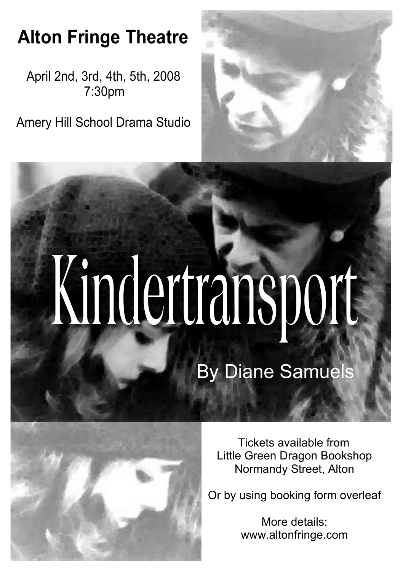## **Alton Fringe Theatre**

April 2nd, 3rd, 4th, 5th, 2008 7:30pm

Amery Hill School Drama Studio



## Kindertransport By Diane Samuels



Tickets available from Little Green Dragon Bookshop Normandy Street, Alton

Or by using booking form overleaf

More details: www.altonfringe.com